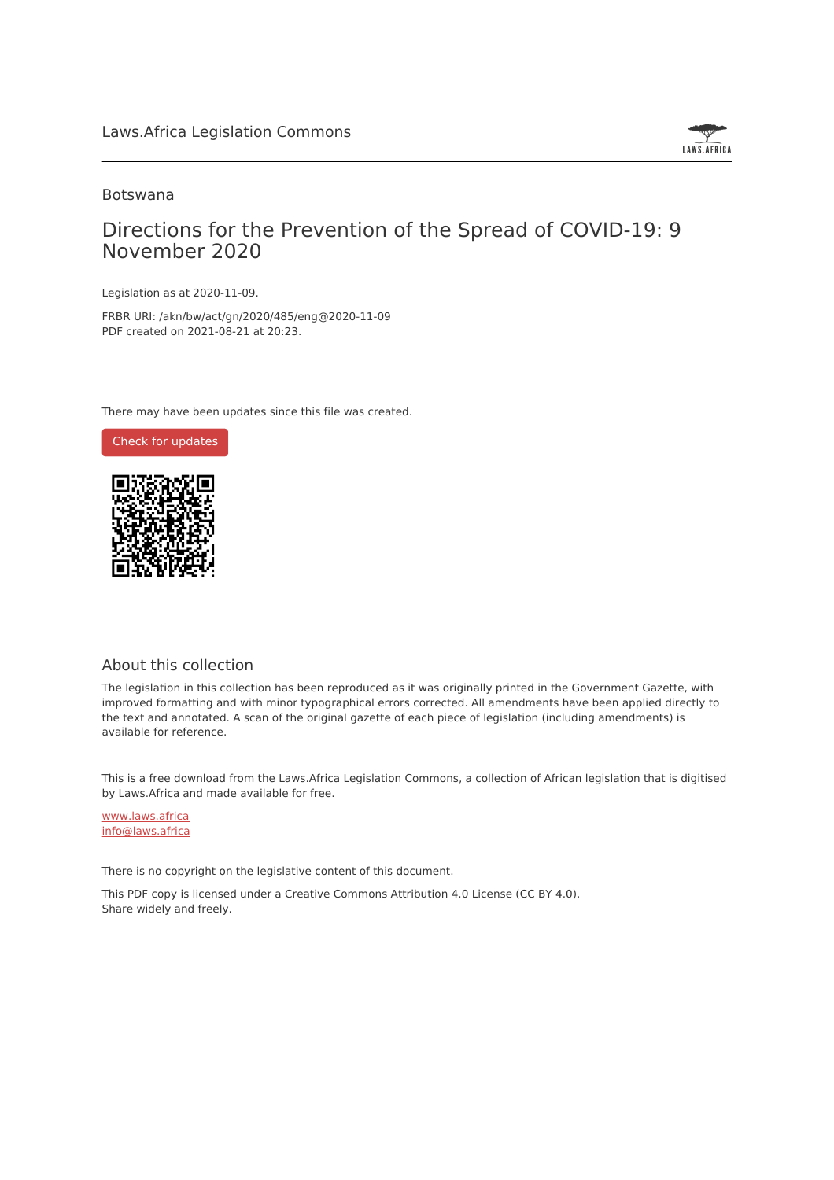

### Botswana

# Directions for the Prevention of the Spread of COVID-19: 9 November 2020

Legislation as at 2020-11-09.

FRBR URI: /akn/bw/act/gn/2020/485/eng@2020-11-09 PDF created on 2021-08-21 at 20:23.

There may have been updates since this file was created.



#### About this collection

The legislation in this collection has been reproduced as it was originally printed in the Government Gazette, with improved formatting and with minor typographical errors corrected. All amendments have been applied directly to the text and annotated. A scan of the original gazette of each piece of legislation (including amendments) is available for reference.

This is a free download from the Laws.Africa Legislation Commons, a collection of African legislation that is digitised by Laws.Africa and made available for free.

[www.laws.africa](https://www.laws.africa) [info@laws.africa](mailto:info@laws.africa)

There is no copyright on the legislative content of this document.

This PDF copy is licensed under a Creative Commons Attribution 4.0 License (CC BY 4.0). Share widely and freely.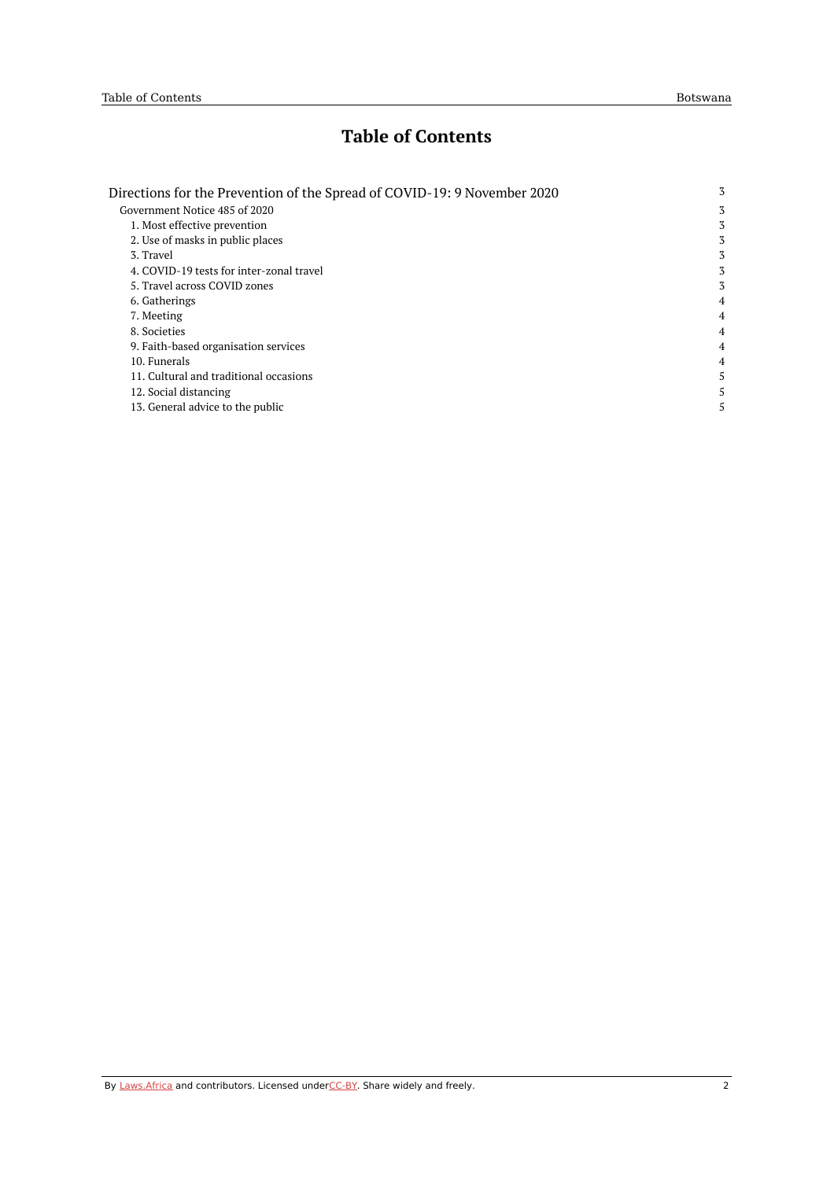# **Table of Contents**

| Directions for the Prevention of the Spread of COVID-19: 9 November 2020 | 3 |
|--------------------------------------------------------------------------|---|
| Government Notice 485 of 2020                                            | 3 |
| 1. Most effective prevention                                             | 3 |
| 2. Use of masks in public places                                         | 3 |
| 3. Travel                                                                | 3 |
| 4. COVID-19 tests for inter-zonal travel                                 | 3 |
| 5. Travel across COVID zones                                             | 3 |
| 6. Gatherings                                                            | 4 |
| 7. Meeting                                                               | 4 |
| 8. Societies                                                             | 4 |
| 9. Faith-based organisation services                                     | 4 |
| 10. Funerals                                                             | 4 |
| 11. Cultural and traditional occasions                                   | 5 |
| 12. Social distancing                                                    | 5 |
| 13. General advice to the public                                         | 5 |
|                                                                          |   |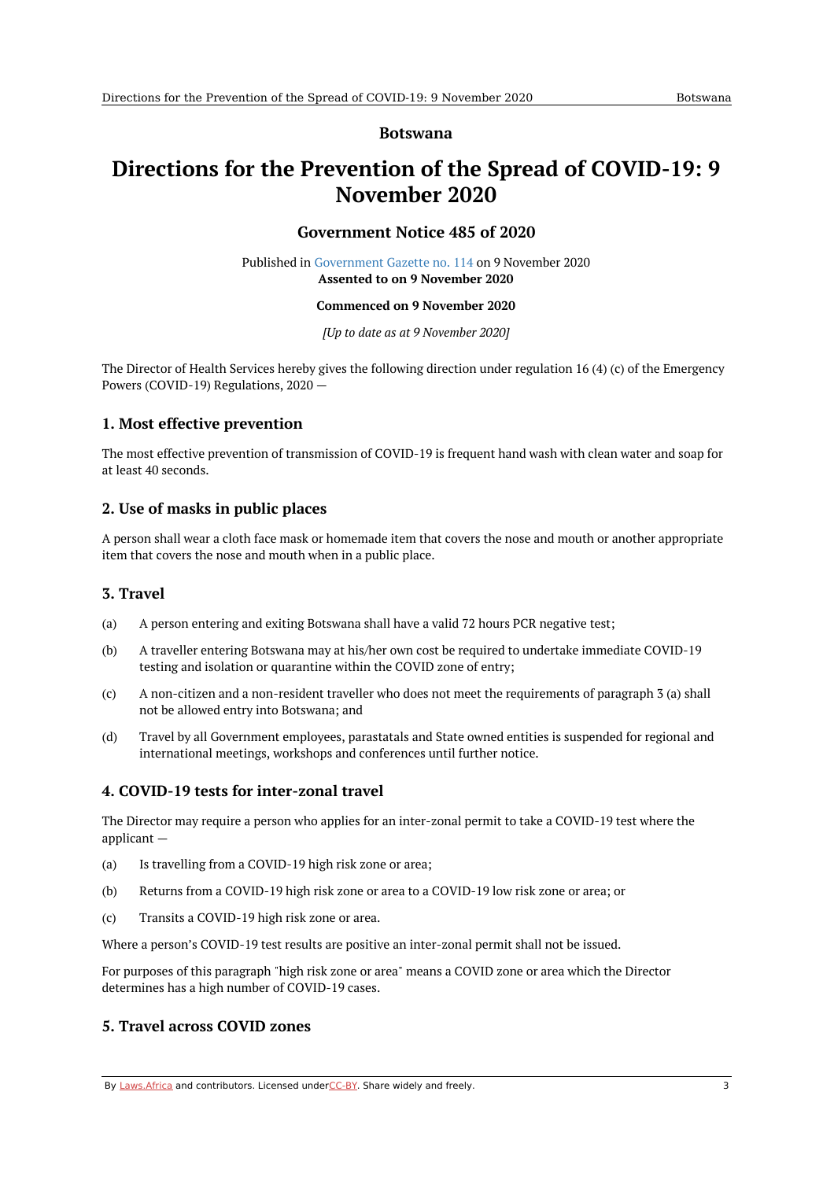### **Botswana**

# <span id="page-2-1"></span><span id="page-2-0"></span>**Directions for the Prevention of the Spread of COVID-19: 9 November 2020**

# **Government Notice 485 of 2020**

Published in [Government](https://commons.laws.africa/akn/bw/act/gn/2020/485/media/publication/bw-act-gn-2020-485-publication-document.pdf) Gazette no. 114 on 9 November 2020 **Assented to on 9 November 2020**

#### **Commenced on 9 November 2020**

*[Up to date as at 9 November 2020]*

The Director of Health Services hereby gives the following direction under regulation 16 (4) (c) of the Emergency Powers (COVID-19) Regulations, 2020 —

# <span id="page-2-2"></span>**1. Most effective prevention**

The most effective prevention of transmission of COVID-19 is frequent hand wash with clean water and soap for at least 40 seconds.

# <span id="page-2-3"></span>**2. Use of masks in public places**

A person shall wear a cloth face mask or homemade item that covers the nose and mouth or another appropriate item that covers the nose and mouth when in a public place.

# <span id="page-2-4"></span>**3. Travel**

- (a) A person entering and exiting Botswana shall have a valid 72 hours PCR negative test;
- (b) A traveller entering Botswana may at his/her own cost be required to undertake immediate COVID-19 testing and isolation or quarantine within the COVID zone of entry;
- (c) A non-citizen and a non-resident traveller who does not meet the requirements of paragraph 3 (a) shall not be allowed entry into Botswana; and
- (d) Travel by all Government employees, parastatals and State owned entities is suspended for regional and international meetings, workshops and conferences until further notice.

# <span id="page-2-5"></span>**4. COVID-19 tests for inter-zonal travel**

The Director may require a person who applies for an inter-zonal permit to take a COVID-19 test where the applicant —

- (a) Is travelling from a COVID-19 high risk zone or area;
- (b) Returns from a COVID-19 high risk zone or area to a COVID-19 low risk zone or area; or
- $(c)$ Transits a COVID-19 high risk zone or area.

Where a person's COVID-19 test results are positive an inter-zonal permit shall not be issued.

For purposes of this paragraph "high risk zone or area" means a COVID zone or area which the Director determines has a high number of COVID-19 cases.

# <span id="page-2-6"></span>**5. Travel across COVID zones**

By [Laws.Africa](https://edit.laws.africa/widgets/pdf-attribution) and contributors. Licensed und[erCC-B](https://edit.laws.africa/widgets/pdf-cc-by)Y. Share widely and freely. 3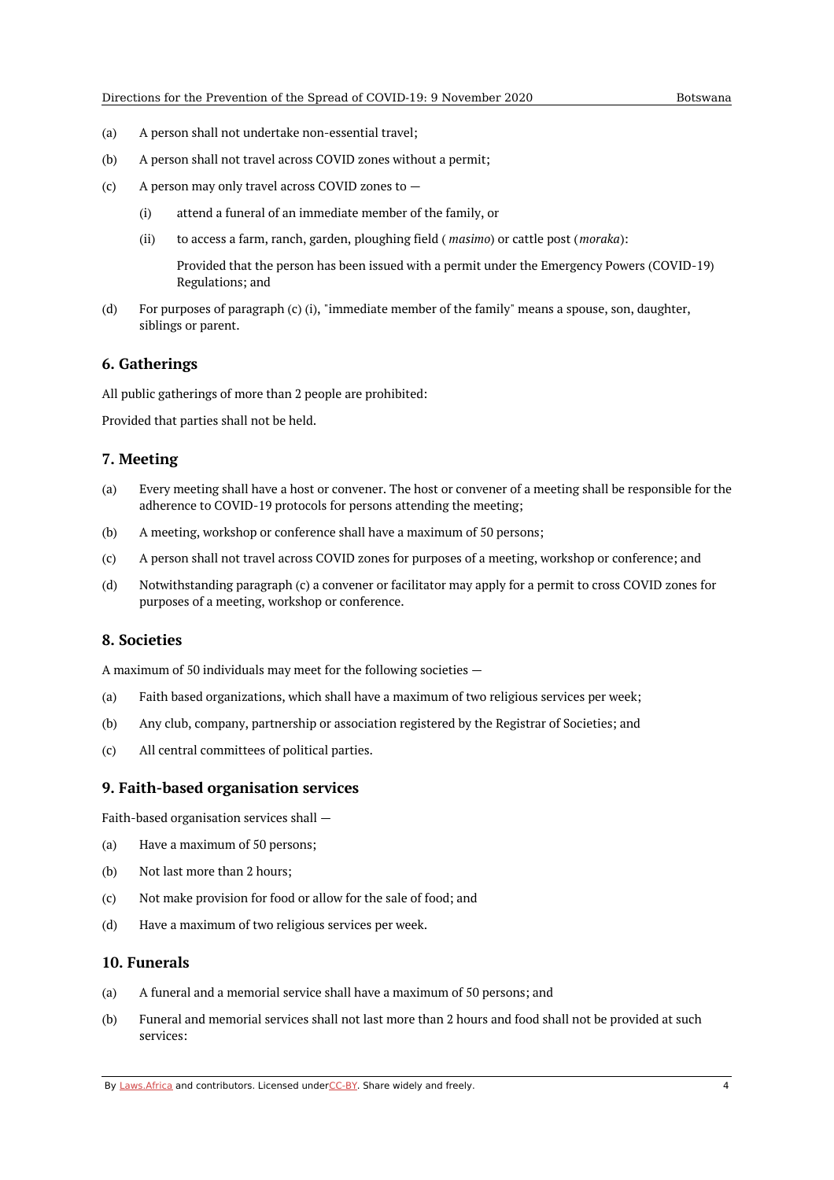- (a) A person shall not undertake non-essential travel;
- (b) A person shall not travel across COVID zones without a permit;
- $(c)$ A person may only travel across COVID zones to —
	- (i) attend a funeral of an immediate member of the family, or
	- (ii) to access a farm, ranch, garden, ploughing field ( *masimo*) or cattle post (*moraka*):

Provided that the person has been issued with a permit under the Emergency Powers (COVID-19) Regulations; and

(d) For purposes of paragraph (c) (i), "immediate member of the family" means a spouse, son, daughter, siblings or parent.

#### <span id="page-3-0"></span>**6. Gatherings**

All public gatherings of more than 2 people are prohibited:

Provided that parties shall not be held.

#### <span id="page-3-1"></span>**7. Meeting**

- (a) Every meeting shall have a host or convener. The host or convener of a meeting shall be responsible for the adherence to COVID-19 protocols for persons attending the meeting;
- (b) A meeting, workshop or conference shall have a maximum of 50 persons;
- (c) A person shall not travel across COVID zones for purposes of a meeting, workshop or conference; and
- (d) Notwithstanding paragraph (c) a convener or facilitator may apply for a permit to cross COVID zones for purposes of a meeting, workshop or conference.

#### <span id="page-3-2"></span>**8. Societies**

A maximum of 50 individuals may meet for the following societies —

- (a) Faith based organizations, which shall have a maximum of two religious services per week;
- (b) Any club, company, partnership or association registered by the Registrar of Societies; and
- (c) All central committees of political parties.

#### <span id="page-3-3"></span>**9. Faith-based organisation services**

Faith-based organisation services shall —

- (a) Have a maximum of 50 persons;
- (b) Not last more than 2 hours;
- (c) Not make provision for food or allow for the sale of food; and
- (d) Have a maximum of two religious services per week.

#### <span id="page-3-4"></span>**10. Funerals**

- (a) A funeral and a memorial service shall have a maximum of 50 persons; and
- (b) Funeral and memorial services shall not last more than 2 hours and food shall not be provided at such services:

By [Laws.Africa](https://edit.laws.africa/widgets/pdf-attribution) and contributors. Licensed und[erCC-B](https://edit.laws.africa/widgets/pdf-cc-by)Y. Share widely and freely. 4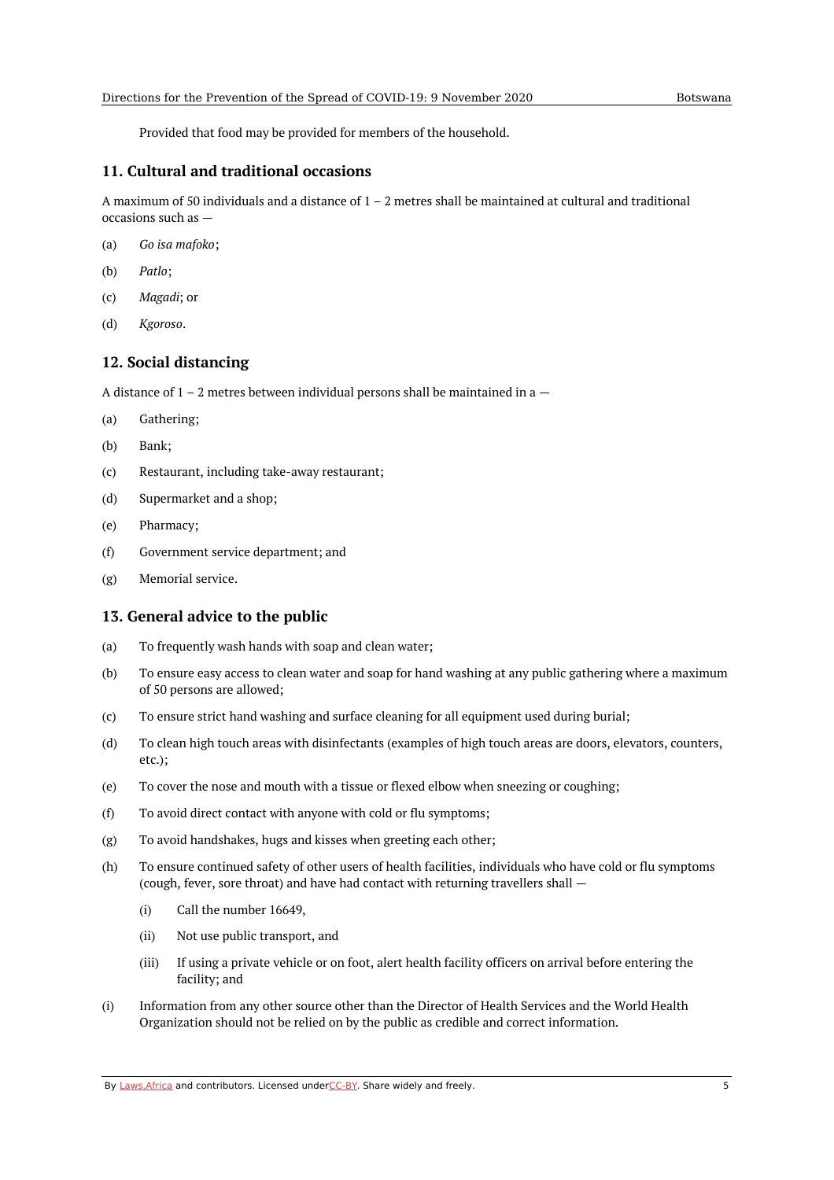Provided that food may be provided for members of the household.

### <span id="page-4-0"></span>**11. Cultural and traditional occasions**

A maximum of 50 individuals and a distance of  $1 - 2$  metres shall be maintained at cultural and traditional occasions such as —

- (a) *Go isa mafoko*;
- (b) *Patlo*;
- (c) *Magadi*; or
- (d) *Kgoroso*.

# <span id="page-4-1"></span>**12. Social distancing**

A distance of  $1 - 2$  metres between individual persons shall be maintained in a  $-$ 

- (a) Gathering;
- (b) Bank;
- (c) Restaurant, including take-away restaurant;
- (d) Supermarket and a shop;
- (e) Pharmacy;
- (f) Government service department; and
- (g) Memorial service.

#### <span id="page-4-2"></span>**13. General advice to the public**

- (a) To frequently wash hands with soap and clean water;
- (b) To ensure easy access to clean water and soap for hand washing at any public gathering where a maximum of 50 persons are allowed;
- (c) To ensure strict hand washing and surface cleaning for all equipment used during burial;
- (d) To clean high touch areas with disinfectants (examples of high touch areas are doors, elevators, counters, etc.);
- (e) To cover the nose and mouth with a tissue or flexed elbow when sneezing or coughing;
- (f) To avoid direct contact with anyone with cold or flu symptoms;
- (g) To avoid handshakes, hugs and kisses when greeting each other;
- (h) To ensure continued safety of other users of health facilities, individuals who have cold or flu symptoms (cough, fever, sore throat) and have had contact with returning travellers shall —
	- (i) Call the number 16649,
	- (ii) Not use public transport, and
	- (iii) If using a private vehicle or on foot, alert health facility officers on arrival before entering the facility; and
- (i) Information from any other source other than the Director of Health Services and the World Health Organization should not be relied on by the public as credible and correct information.